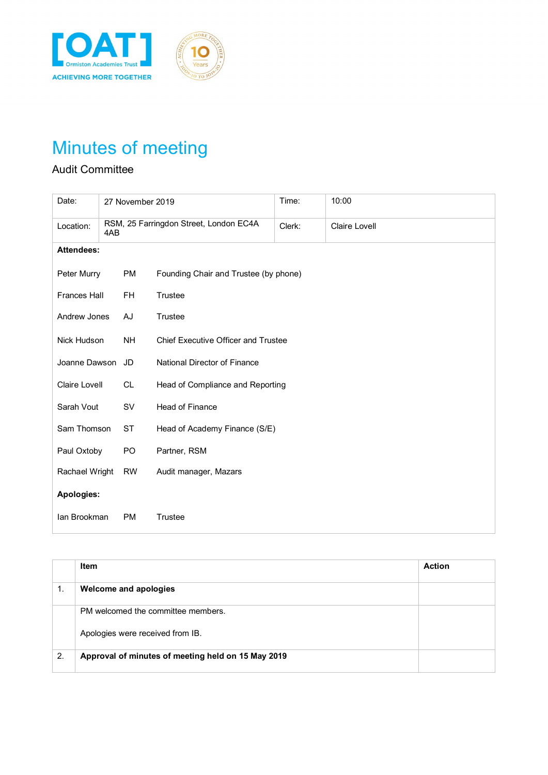



# Minutes of meeting

### Audit Committee

| Date:               |  | 27 November 2019 |                                        | Time: | 10:00         |  |
|---------------------|--|------------------|----------------------------------------|-------|---------------|--|
| Location:<br>4AB    |  |                  | RSM, 25 Farringdon Street, London EC4A |       | Claire Lovell |  |
| <b>Attendees:</b>   |  |                  |                                        |       |               |  |
| Peter Murry         |  | <b>PM</b>        | Founding Chair and Trustee (by phone)  |       |               |  |
| <b>Frances Hall</b> |  | <b>FH</b>        | Trustee                                |       |               |  |
| Andrew Jones        |  | AJ               | Trustee                                |       |               |  |
| Nick Hudson         |  | <b>NH</b>        | Chief Executive Officer and Trustee    |       |               |  |
| Joanne Dawson JD    |  |                  | National Director of Finance           |       |               |  |
| Claire Lovell       |  | CL.              | Head of Compliance and Reporting       |       |               |  |
| Sarah Vout          |  | SV               | <b>Head of Finance</b>                 |       |               |  |
| Sam Thomson         |  | <b>ST</b>        | Head of Academy Finance (S/E)          |       |               |  |
| Paul Oxtoby         |  | PO               | Partner, RSM                           |       |               |  |
| Rachael Wright      |  | <b>RW</b>        | Audit manager, Mazars                  |       |               |  |
| Apologies:          |  |                  |                                        |       |               |  |
| Ian Brookman        |  | <b>PM</b>        | Trustee                                |       |               |  |

|    | Item                                               | <b>Action</b> |
|----|----------------------------------------------------|---------------|
| 1. | Welcome and apologies                              |               |
|    | PM welcomed the committee members.                 |               |
|    | Apologies were received from IB.                   |               |
| 2. | Approval of minutes of meeting held on 15 May 2019 |               |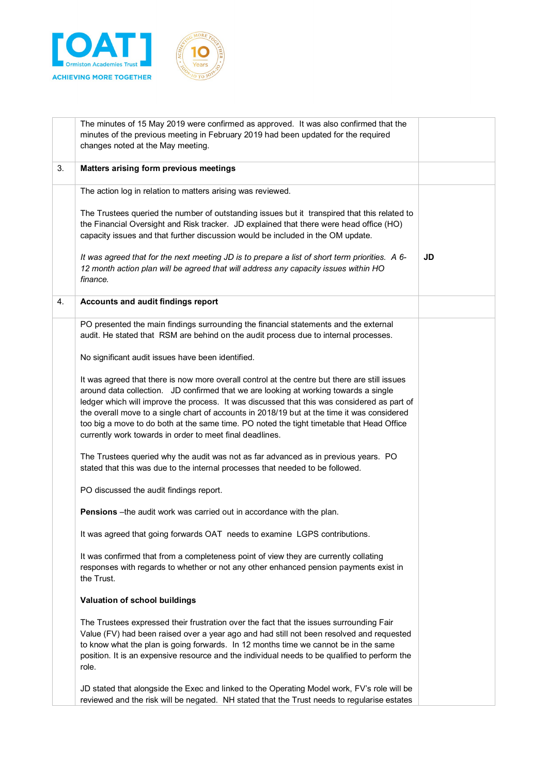



|    | The minutes of 15 May 2019 were confirmed as approved. It was also confirmed that the<br>minutes of the previous meeting in February 2019 had been updated for the required<br>changes noted at the May meeting.                                                                                                                                                                                                                                                                                                                             |    |
|----|----------------------------------------------------------------------------------------------------------------------------------------------------------------------------------------------------------------------------------------------------------------------------------------------------------------------------------------------------------------------------------------------------------------------------------------------------------------------------------------------------------------------------------------------|----|
| 3. | Matters arising form previous meetings                                                                                                                                                                                                                                                                                                                                                                                                                                                                                                       |    |
|    | The action log in relation to matters arising was reviewed.                                                                                                                                                                                                                                                                                                                                                                                                                                                                                  |    |
|    | The Trustees queried the number of outstanding issues but it transpired that this related to<br>the Financial Oversight and Risk tracker. JD explained that there were head office (HO)<br>capacity issues and that further discussion would be included in the OM update.                                                                                                                                                                                                                                                                   |    |
|    | It was agreed that for the next meeting JD is to prepare a list of short term priorities. A 6-<br>12 month action plan will be agreed that will address any capacity issues within HO<br>finance.                                                                                                                                                                                                                                                                                                                                            | JD |
| 4. | Accounts and audit findings report                                                                                                                                                                                                                                                                                                                                                                                                                                                                                                           |    |
|    | PO presented the main findings surrounding the financial statements and the external<br>audit. He stated that RSM are behind on the audit process due to internal processes.                                                                                                                                                                                                                                                                                                                                                                 |    |
|    | No significant audit issues have been identified.                                                                                                                                                                                                                                                                                                                                                                                                                                                                                            |    |
|    | It was agreed that there is now more overall control at the centre but there are still issues<br>around data collection. JD confirmed that we are looking at working towards a single<br>ledger which will improve the process. It was discussed that this was considered as part of<br>the overall move to a single chart of accounts in 2018/19 but at the time it was considered<br>too big a move to do both at the same time. PO noted the tight timetable that Head Office<br>currently work towards in order to meet final deadlines. |    |
|    | The Trustees queried why the audit was not as far advanced as in previous years. PO<br>stated that this was due to the internal processes that needed to be followed.                                                                                                                                                                                                                                                                                                                                                                        |    |
|    | PO discussed the audit findings report.                                                                                                                                                                                                                                                                                                                                                                                                                                                                                                      |    |
|    | Pensions -the audit work was carried out in accordance with the plan.                                                                                                                                                                                                                                                                                                                                                                                                                                                                        |    |
|    | It was agreed that going forwards OAT needs to examine LGPS contributions.                                                                                                                                                                                                                                                                                                                                                                                                                                                                   |    |
|    | It was confirmed that from a completeness point of view they are currently collating<br>responses with regards to whether or not any other enhanced pension payments exist in<br>the Trust.                                                                                                                                                                                                                                                                                                                                                  |    |
|    | Valuation of school buildings                                                                                                                                                                                                                                                                                                                                                                                                                                                                                                                |    |
|    | The Trustees expressed their frustration over the fact that the issues surrounding Fair<br>Value (FV) had been raised over a year ago and had still not been resolved and requested<br>to know what the plan is going forwards. In 12 months time we cannot be in the same<br>position. It is an expensive resource and the individual needs to be qualified to perform the<br>role.                                                                                                                                                         |    |
|    | JD stated that alongside the Exec and linked to the Operating Model work, FV's role will be<br>reviewed and the risk will be negated. NH stated that the Trust needs to regularise estates                                                                                                                                                                                                                                                                                                                                                   |    |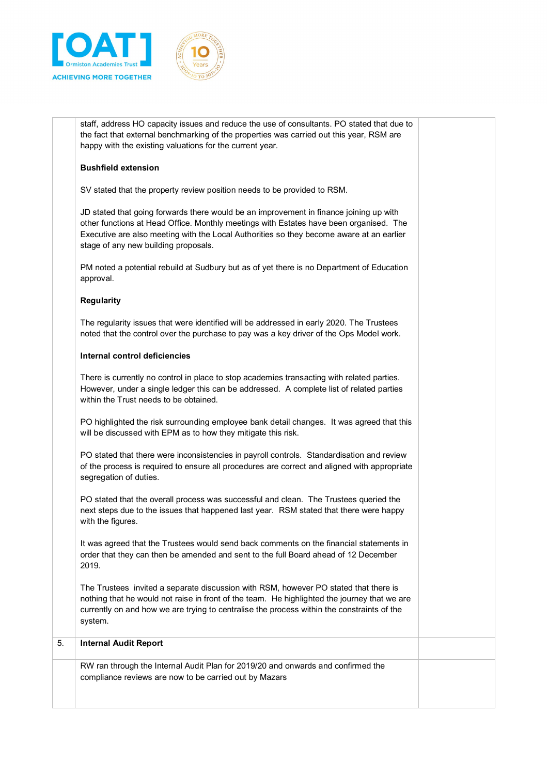



staff, address HO capacity issues and reduce the use of consultants. PO stated that due to the fact that external benchmarking of the properties was carried out this year, RSM are happy with the existing valuations for the current year.

#### **Bushfield extension**

SV stated that the property review position needs to be provided to RSM.

JD stated that going forwards there would be an improvement in finance joining up with other functions at Head Office. Monthly meetings with Estates have been organised. The Executive are also meeting with the Local Authorities so they become aware at an earlier stage of any new building proposals.

PM noted a potential rebuild at Sudbury but as of yet there is no Department of Education approval.

#### **Regularity**

The regularity issues that were identified will be addressed in early 2020. The Trustees noted that the control over the purchase to pay was a key driver of the Ops Model work.

#### **Internal control deficiencies**

There is currently no control in place to stop academies transacting with related parties. However, under a single ledger this can be addressed. A complete list of related parties within the Trust needs to be obtained.

PO highlighted the risk surrounding employee bank detail changes. It was agreed that this will be discussed with EPM as to how they mitigate this risk.

PO stated that there were inconsistencies in payroll controls. Standardisation and review of the process is required to ensure all procedures are correct and aligned with appropriate segregation of duties.

PO stated that the overall process was successful and clean. The Trustees queried the next steps due to the issues that happened last year. RSM stated that there were happy with the figures.

It was agreed that the Trustees would send back comments on the financial statements in order that they can then be amended and sent to the full Board ahead of 12 December 2019.

The Trustees invited a separate discussion with RSM, however PO stated that there is nothing that he would not raise in front of the team. He highlighted the journey that we are currently on and how we are trying to centralise the process within the constraints of the system.

## 5. **Internal Audit Report** RW ran through the Internal Audit Plan for 2019/20 and onwards and confirmed the

compliance reviews are now to be carried out by Mazars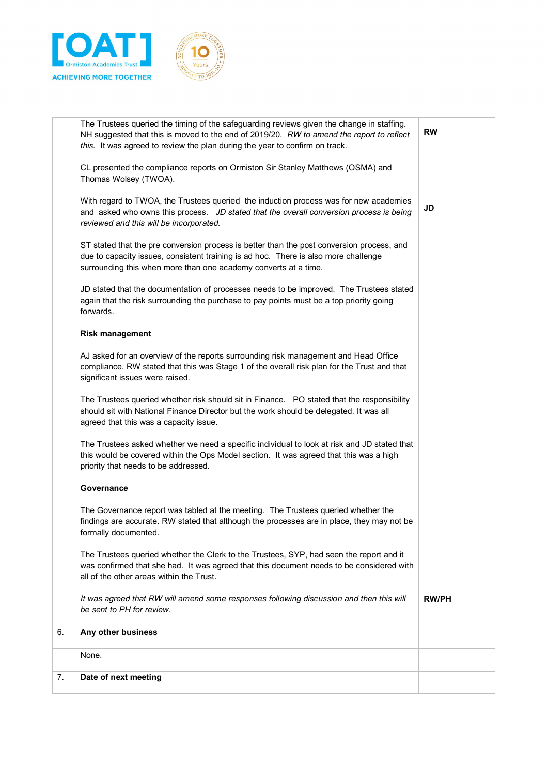

MOR

| Date of next meeting                                                                                                                                                                                                                                |              |
|-----------------------------------------------------------------------------------------------------------------------------------------------------------------------------------------------------------------------------------------------------|--------------|
| None.                                                                                                                                                                                                                                               |              |
| Any other business                                                                                                                                                                                                                                  |              |
| It was agreed that RW will amend some responses following discussion and then this will<br>be sent to PH for review.                                                                                                                                | <b>RW/PH</b> |
| The Trustees queried whether the Clerk to the Trustees, SYP, had seen the report and it<br>was confirmed that she had. It was agreed that this document needs to be considered with<br>all of the other areas within the Trust.                     |              |
| The Governance report was tabled at the meeting. The Trustees queried whether the<br>findings are accurate. RW stated that although the processes are in place, they may not be<br>formally documented.                                             |              |
| Governance                                                                                                                                                                                                                                          |              |
| The Trustees asked whether we need a specific individual to look at risk and JD stated that<br>this would be covered within the Ops Model section. It was agreed that this was a high<br>priority that needs to be addressed.                       |              |
| The Trustees queried whether risk should sit in Finance. PO stated that the responsibility<br>should sit with National Finance Director but the work should be delegated. It was all<br>agreed that this was a capacity issue.                      |              |
| AJ asked for an overview of the reports surrounding risk management and Head Office<br>compliance. RW stated that this was Stage 1 of the overall risk plan for the Trust and that<br>significant issues were raised.                               |              |
| <b>Risk management</b>                                                                                                                                                                                                                              |              |
| JD stated that the documentation of processes needs to be improved. The Trustees stated<br>again that the risk surrounding the purchase to pay points must be a top priority going<br>forwards.                                                     |              |
| ST stated that the pre conversion process is better than the post conversion process, and<br>due to capacity issues, consistent training is ad hoc. There is also more challenge<br>surrounding this when more than one academy converts at a time. |              |
| With regard to TWOA, the Trustees queried the induction process was for new academies<br>and asked who owns this process. JD stated that the overall conversion process is being<br>reviewed and this will be incorporated.                         | JD           |
| CL presented the compliance reports on Ormiston Sir Stanley Matthews (OSMA) and<br>Thomas Wolsey (TWOA).                                                                                                                                            |              |
| this. It was agreed to review the plan during the year to confirm on track.                                                                                                                                                                         |              |
| The Trustees queried the timing of the safeguarding reviews given the change in staffing.<br>NH suggested that this is moved to the end of 2019/20. RW to amend the report to reflect                                                               | <b>RW</b>    |